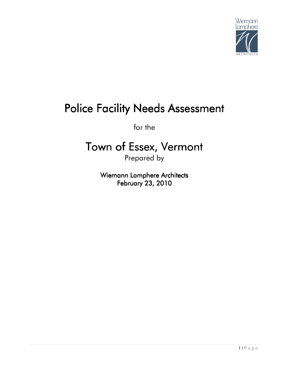

# Police Facility Needs Assessment

for the

# Town of Essex, Vermont

Prepared by

Wiemann Lamphere Architects February 23, 2010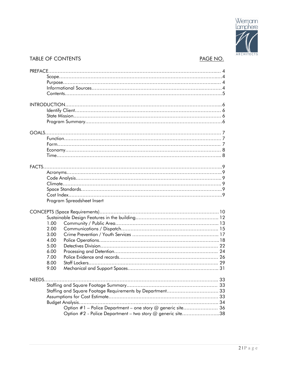

## TABLE OF CONTENTS **PAGE NO.**

|        |      | Program Spreadsheet Insert                                  |  |  |
|--------|------|-------------------------------------------------------------|--|--|
|        |      |                                                             |  |  |
|        |      |                                                             |  |  |
|        |      |                                                             |  |  |
|        | 1.00 |                                                             |  |  |
|        | 2.00 |                                                             |  |  |
|        | 3.00 |                                                             |  |  |
|        | 4.00 |                                                             |  |  |
|        | 5.00 |                                                             |  |  |
|        | 6.00 |                                                             |  |  |
|        | 7.00 |                                                             |  |  |
|        | 8.00 |                                                             |  |  |
|        | 9.00 |                                                             |  |  |
|        |      |                                                             |  |  |
| NEEDS. |      |                                                             |  |  |
|        |      |                                                             |  |  |
|        |      | Staffing and Square Footage Requirements by Department 33   |  |  |
|        |      |                                                             |  |  |
|        |      |                                                             |  |  |
|        |      | Option #1 - Police Department - one story @ generic site 36 |  |  |
|        |      | Option #2 - Police Department - two story @ generic site38  |  |  |
|        |      |                                                             |  |  |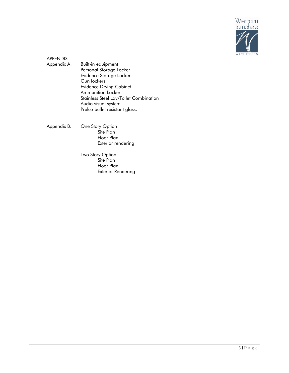

- APPENDIX Appendix A. Built-in equipment Personal Storage Locker Evidence Storage Lockers Gun lockers Evidence Drying Cabinet Ammunition Locker Stainless Steel Lav/Toilet Combination Audio visual system Prelco bullet resistant glass.
- Appendix B. One Story Option Site Plan Floor Plan Exterior rendering
	- Two Story Option Site Plan Floor Plan Exterior Rendering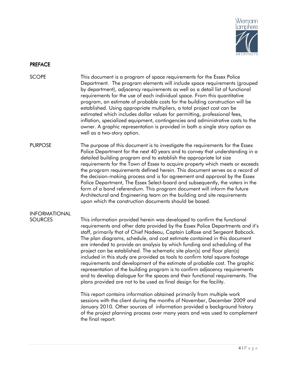

## PREFACE

SCOPE This document is a program of space requirements for the Essex Police Department. The program elements will include space requirements (grouped by department), adjacency requirements as well as a detail list of functional requirements for the use of each individual space. From this quantitative program, an estimate of probable costs for the building construction will be established. Using appropriate multipliers, a total project cost can be estimated which includes dollar values for permitting, professional fees, inflation, specialized equipment, contingencies and administrative costs to the owner. A graphic representation is provided in both a single story option as well as a two-story option.

PURPOSE The purpose of this document is to investigate the requirements for the Essex Police Department for the next 40 years and to convey that understanding in a detailed building program and to establish the appropriate lot size requirements for the Town of Essex to acquire property which meets or exceeds the program requirements defined herein. This document serves as a record of the decision-making process and is for agreement and approval by the Essex Police Department, The Essex Select-board and subsequently, the voters in the form of a bond referendum. This program document will inform the future Architectural and Engineering team on the building and site requirements upon which the construction documents should be based.

## INFORMATIONAL

SOURCES This information provided herein was developed to confirm the functional requirements and other data provided by the Essex Police Departments and it's staff, primarily that of Chief Nadeau, Captain LaRose and Sergeant Babcock. The plan diagrams, schedule, and cost estimate contained in this document are intended to provide an analysis by which funding and scheduling of the project can be established. The schematic site plan(s) and floor plan(s) included in this study are provided as tools to confirm total square footage requirements and development of the estimate of probable cost. The graphic representation of the building program is to confirm adjacency requirements and to develop dialogue for the spaces and their functional requirements. The plans provided are not to be used as final design for the facility.

> This report contains information obtained primarily from multiple work sessions with the client during the months of November, December 2009 and January 2010. Other sources of information provided a background history of the project planning process over many years and was used to complement the final report: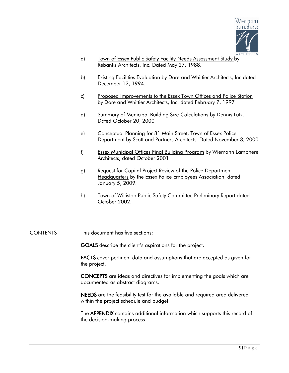

- a) Town of Essex Public Safety Facility Needs Assessment Study by Rebanks Architects, Inc. Dated May 27, 1988.
- b) Existing Facilities Evaluation by Dore and Whittier Architects, Inc dated December 12, 1994.
- c) Proposed Improvements to the Essex Town Offices and Police Station by Dore and Whittier Architects, Inc. dated February 7, 1997
- d) Summary of Municipal Building Size Calculations by Dennis Lutz. Dated October 20, 2000
- e) Conceptual Planning for 81 Main Street, Town of Essex Police Department by Scott and Partners Architects. Dated November 3, 2000
- f) Essex Municipal Offices Final Building Program by Wiemann Lamphere Architects, dated October 2001
- g) Request for Capital Project Review of the Police Department Headquarters by the Essex Police Employees Association, dated January 5, 2009.
- h) Town of Williston Public Safety Committee Preliminary Report dated October 2002.
- CONTENTS This document has five sections:

GOALS describe the client's aspirations for the project.

FACTS cover pertinent data and assumptions that are accepted as given for the project.

CONCEPTS are ideas and directives for implementing the goals which are documented as abstract diagrams.

NEEDS are the feasibility test for the available and required area delivered within the project schedule and budget.

The **APPENDIX** contains additional information which supports this record of the decision-making process.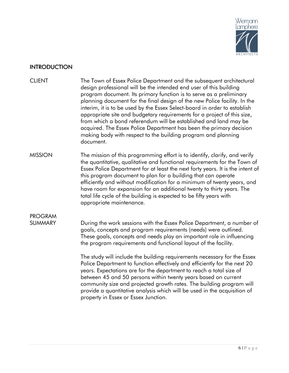

## **INTRODUCTION**

- CLIENT The Town of Essex Police Department and the subsequent architectural design professional will be the intended end user of this building program document. Its primary function is to serve as a preliminary planning document for the final design of the new Police facility. In the interim, it is to be used by the Essex Select-board in order to establish appropriate site and budgetary requirements for a project of this size, from which a bond referendum will be established and land may be acquired. The Essex Police Department has been the primary decision making body with respect to the building program and planning document.
- MISSION The mission of this programming effort is to identify, clarify, and verify the quantitative, qualitative and functional requirements for the Town of Essex Police Department for at least the next forty years. It is the intent of this program document to plan for a building that can operate efficiently and without modification for a minimum of twenty years, and have room for expansion for an additional twenty to thirty years. The total life cycle of the building is expected to be fifty years with appropriate maintenance.

## PROGRAM

SUMMARY During the work sessions with the Essex Police Department, a number of goals, concepts and program requirements (needs) were outlined. These goals, concepts and needs play an important role in influencing the program requirements and functional layout of the facility.

> The study will include the building requirements necessary for the Essex Police Department to function effectively and efficiently for the next 20 years. Expectations are for the department to reach a total size of between 45 and 50 persons within twenty years based on current community size and projected growth rates. The building program will provide a quantitative analysis which will be used in the acquisition of property in Essex or Essex Junction.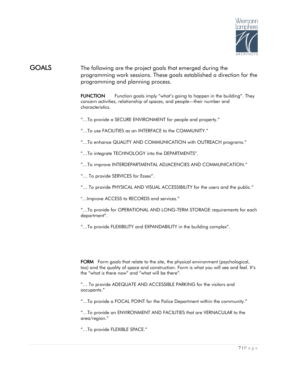

## GOALS The following are the project goals that emerged during the programming work sessions. These goals established a direction for the programming and planning process.

FUNCTION Function goals imply "what's going to happen in the building". They concern activities, relationship of spaces, and people—their number and characteristics.

"…To provide a SECURE ENVIRONMENT for people and property."

"…To use FACILITIES as an INTERFACE to the COMMUNITY."

"…To enhance QUALITY AND COMMUNICATION with OUTREACH programs."

"…To integrate TECHNOLOGY into the DEPARTMENTS".

"…To improve INTERDEPARTMENTAL ADJACENCIES AND COMMUNICATION."

"… To provide SERVICES for Essex".

"… To provide PHYSICAL AND VISUAL ACCESSIBILITY for the users and the public."

"…Improve ACCESS to RECORDS and services."

"…To provide for OPERATIONAL AND LONG-TERM STORAGE requirements for each department".

"…To provide FLEXIBILITY and EXPANDABILITY in the building complex".

FORM Form goals that relate to the site, the physical environment (psychological, too) and the quality of space and construction. Form is what you will see and feel. It's the "what is there now" and "what will be there".

"… To provide ADEQUATE AND ACCESSIBLE PARKING for the visitors and occupants."

"…To provide a FOCAL POINT for the Police Department within the community."

"…To provide an ENVIRONMENT AND FACILITIES that are VERNACULAR to the area/region."

"…To provide FLEXIBLE SPACE."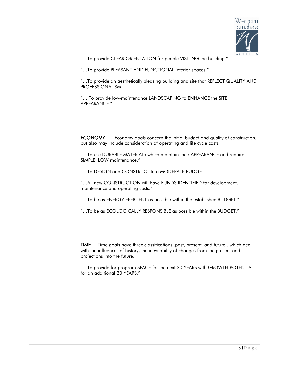

"…To provide CLEAR ORIENTATION for people VISITING the building."

"…To provide PLEASANT AND FUNCTIONAL interior spaces."

"…To provide an aesthetically pleasing building and site that REFLECT QUALITY AND PROFESSIONALISM."

"… To provide low-maintenance LANDSCAPING to ENHANCE the SITE APPEARANCE."

**ECONOMY** Economy goals concern the initial budget and quality of construction, but also may include consideration of operating and life cycle costs.

"…To use DURABLE MATERIALS which maintain their APPEARANCE and require SIMPLE, LOW maintenance."

"…To DESIGN and CONSTRUCT to a MODERATE BUDGET."

"…All new CONSTRUCTION will have FUNDS IDENTIFIED for development, maintenance and operating costs."

"…To be as ENERGY EFFICIENT as possible within the established BUDGET."

"…To be as ECOLOGICALLY RESPONSIBLE as possible within the BUDGET."

**TIME** Time goals have three classifications..past, present, and future.. which deal with the influences of history, the inevitability of changes from the present and projections into the future.

"…To provide for program SPACE for the next 20 YEARS with GROWTH POTENTIAL for an additional 20 YEARS."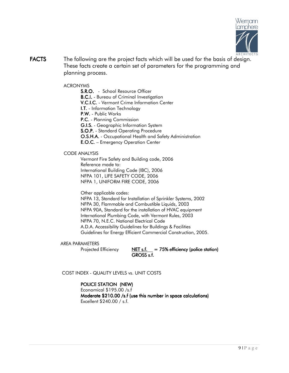

**FACTS** The following are the project facts which will be used for the basis of design. These facts create a certain set of parameters for the programming and planning process.

## ACRONYMS

S.R.O. - School Resource Officer **B.C.I.** - Bureau of Criminal Investigation V.C.I.C. - Vermont Crime Information Center I.T. - Information Technology P.W. - Public Works P.C. - Planning Commission **G.I.S.** - Geographic Information System S.O.P. - Standard Operating Procedure **O.S.H.A.** - Occupational Health and Safety Administration E.O.C. – Emergency Operation Center

## CODE ANALYSIS

 Vermont Fire Safety and Building code, 2006 Reference made to: International Building Code (IBC), 2006 NFPA 101, LIFE SAFETY CODE, 2006 NFPA 1, UNIFORM FIRE CODE, 2006

Other applicable codes:

 NFPA 13, Standard for Installation of Sprinkler Systems, 2002 NFPA 30, Flammable and Combustible Liquids, 2003 NFPA 90A, Standard for the installation of HVAC equipment International Plumbing Code, with Vermont Rules, 2003 NFPA 70, N.E.C. National Electrical Code A.D.A. Accessibility Guidelines for Buildings & Facilities Guidelines for Energy Efficient Commercial Construction, 2005.

## AREA PARAMETERS

Projected Efficiency  $NET s.f.$  = 75% efficiency (police station)  $GROSS$  s.f.

COST INDEX - QUALITY LEVELS vs. UNIT COSTS

## POLICE STATION (NEW)

 Economical \$195.00 /s.f Moderate \$210.00 /s.f (use this number in space calculations) Excellent \$240.00 / s.f.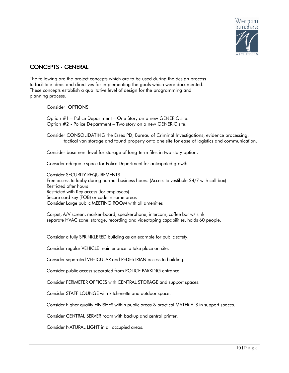

## CONCEPTS - GENERAL

The following are the project concepts which are to be used during the design process to facilitate ideas and directives for implementing the goals which were documented. These concepts establish a qualitative level of design for the programming and planning process.

Consider OPTIONS

Option #1 – Police Department – One Story on a new GENERIC site. Option #2 - Police Department – Two story on a new GENERIC site.

Consider CONSOLIDATING the Essex PD, Bureau of Criminal Investigations, evidence processing, tactical van storage and found property onto one site for ease of logistics and communication.

Consider basement level for storage of long-term files in two story option.

Consider adequate space for Police Department for anticipated growth.

Consider SECURITY REQUIREMENTS Free access to lobby during normal business hours. (Access to vestibule 24/7 with call box) Restricted after hours Restricted with Key access (for employees) Secure card key (FOB) or code in some areas Consider Large public MEETING ROOM with all amenities

Carpet, A/V screen, marker-board, speakerphone, intercom, coffee bar w/ sink separate HVAC zone, storage, recording and videotaping capabilities, holds 60 people.

Consider a fully SPRINKLERED building as an example for public safety.

Consider regular VEHICLE maintenance to take place on-site.

Consider separated VEHICULAR and PEDESTRIAN access to building.

Consider public access separated from POLICE PARKING entrance

Consider PERIMETER OFFICES with CENTRAL STORAGE and support spaces.

Consider STAFF LOUNGE with kitchenette and outdoor space.

Consider higher quality FINISHES within public areas & practical MATERIALS in support spaces.

Consider CENTRAL SERVER room with backup and central printer.

Consider NATURAL LIGHT in all occupied areas.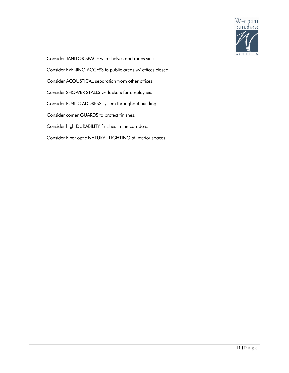

Consider JANITOR SPACE with shelves and mops sink.

Consider EVENING ACCESS to public areas w/ offices closed.

Consider ACOUSTICAL separation from other offices.

Consider SHOWER STALLS w/ lockers for employees.

Consider PUBLIC ADDRESS system throughout building.

Consider corner GUARDS to protect finishes.

Consider high DURABILITY finishes in the corridors.

Consider Fiber optic NATURAL LIGHTING at interior spaces.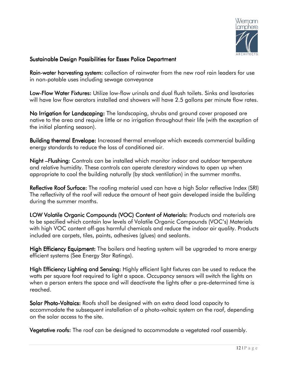

## Sustainable Design Possibilities for Essex Police Department

Rain-water harvesting system: collection of rainwater from the new roof rain leaders for use in non-potable uses including sewage conveyance

Low-Flow Water Fixtures: Utilize low-flow urinals and dual flush toilets. Sinks and lavatories will have low flow aerators installed and showers will have 2.5 gallons per minute flow rates.

No Irrigation for Landscaping: The landscaping, shrubs and ground cover proposed are native to the area and require little or no irrigation throughout their life (with the exception of the initial planting season).

**Building thermal Envelope:** Increased thermal envelope which exceeds commercial building energy standards to reduce the loss of conditioned air.

Night – Flushing: Controls can be installed which monitor indoor and outdoor temperature and relative humidity. These controls can operate clerestory windows to open up when appropriate to cool the building naturally (by stack ventilation) in the summer months.

Reflective Roof Surface: The roofing material used can have a high Solar reflective Index (SRI) The reflectivity of the roof will reduce the amount of heat gain developed inside the building during the summer months.

LOW Volatile Organic Compounds (VOC) Content of Materials: Products and materials are to be specified which contain low levels of Volatile Organic Compounds (VOC's) Materials with high VOC content off-gas harmful chemicals and reduce the indoor air quality. Products included are carpets, tiles, paints, adhesives (glues) and sealants.

High Efficiency Equipment: The boilers and heating system will be upgraded to more energy efficient systems (See Energy Star Ratings).

High Efficiency Lighting and Sensing: Highly efficient light fixtures can be used to reduce the watts per square foot required to light a space. Occupancy sensors will switch the lights on when a person enters the space and will deactivate the lights after a pre-determined time is reached.

**Solar Photo-Voltaics:** Roofs shall be designed with an extra dead load capacity to accommodate the subsequent installation of a photo-voltaic system on the roof, depending on the solar access to the site.

Vegetative roofs: The roof can be designed to accommodate a vegetated roof assembly.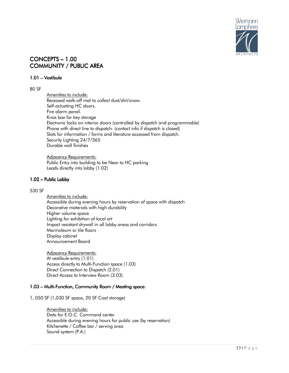

## CONCEPTS – 1.00 COMMUNITY / PUBLIC AREA

## 1.01 – Vestibule

## 80 SF

 Amenities to include: Recessed walk-off mat to collect dust/dirt/snow. Self-actuating HC doors. Fire alarm panel. Knox box for key storage Electronic locks on interior doors (controlled by dispatch and programmable) Phone with direct line to dispatch. (contact info if dispatch is closed) Slots for information / forms and literature accessed from dispatch. Security Lighting 24/7/365 Durable wall finishes

 Adjacency Requirements: Public Entry into building to be Near to HC parking Leads directly into lobby (1.02)

## 1.02 – Public Lobby

## 530 SF

 Amenities to include: Accessible during evening hours by reservation of space with dispatch Decorative materials with high durability Higher volume space Lighting for exhibition of local art Impact resistant drywall in all lobby areas and corridors Marmoleum or tile floors Display cabinet Announcement Board

 Adjacency Requirements: At vestibule entry (1.01) Access directly to Multi-Function space (1.03) Direct Connection to Dispatch (2.01) Direct Access to Interview Room (3.03)

## 1.03 – Multi-Function, Community Room / Meeting space:

1, 050 SF (1,030 SF space, 20 SF Coat storage)

Amenities to include: Data for E.O.C. Command center Accessible during evening hours for public use (by reservation) Kitchenette / Coffee bar / serving area Sound system (P.A.)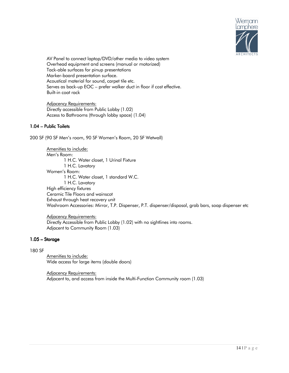

AV Panel to connect laptop/DVD/other media to video system Overhead equipment and screens (manual or motorized) Tack-able surfaces for pinup presentations Marker-board presentation surface. Acoustical material for sound, carpet tile etc. Serves as back-up EOC – prefer walker duct in floor if cost effective. Built-in coat rack

 Adjacency Requirements: Directly accessible from Public Lobby (1.02) Access to Bathrooms (through lobby space) (1.04)

## 1.04 - Public Toilets

200 SF (90 SF Men's room, 90 SF Women's Room, 20 SF Wetwall)

 Amenities to include: Men's Room: 1 H.C. Water closet, 1 Urinal Fixture 1 H.C. Lavatory Women's Room: 1 H.C. Water closet, 1 standard W.C. 1 H.C. Lavatory High efficiency fixtures Ceramic Tile Floors and wainscot Exhaust through heat recovery unit Washroom Accessories: Mirror, T.P. Dispenser, P.T. dispenser/disposal, grab bars, soap dispenser etc

 Adjacency Requirements: Directly Accessible from Public Lobby (1.02) with no sightlines into rooms. Adjacent to Community Room (1.03)

## $1.05$  – Storage

## 180 SF

 Amenities to include: Wide access for large items (double doors)

 Adjacency Requirements: Adjacent to, and access from inside the Multi-Function Community room (1.03)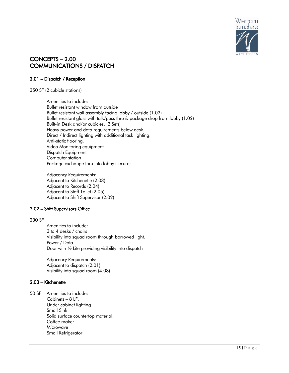

## CONCEPTS – 2.00 **COMMUNICATIONS / DISPATCH**

## $2.01$  – Dispatch / Reception

350 SF (2 cubicle stations)

Amenities to include: Bullet resistant window from outside Bullet resistant wall assembly facing lobby / outside (1.02) Bullet resistant glass with talk/pass thru & package drop from lobby (1.02) Built-inDesk and/or cubicles. (2 Sets) Heavy power and data requirements below desk. Direct / Indirect lighting with additional task lighting. Anti-static flooring. Video Monitoring equipment Dispatch Equipment Computer station Package exchange thru into lobby (secure)

 Adjacency Requirements: Adjacent to Kitchenette (2.03) Adjacent to Records (2.04) Adjacent to Staff Toilet (2.05) Adjacent to Shift Supervisor (2.02)

## $2.02$  – Shift Supervisors Office

## 230 SF

 Amenities to include: 3 to 4 desks / chairs Visibility into squad room through borrowed light. Power / Data. Door with ½ Lite providing visibility into dispatch

 Adjacency Requirements: Adjacent to dispatch (2.01) Visibility into squad room (4.08)

## $2.03$  – Kitchenette

50 SF Amenities to include: Cabinets – 8 LF. Under cabinet lighting Small Sink Solid surface countertop material. Coffee maker Microwave Small Refrigerator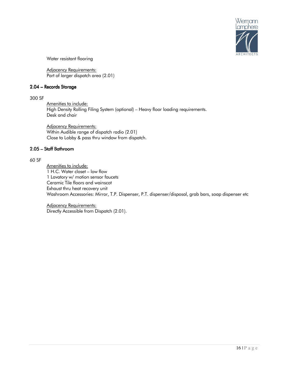

Water resistant flooring

 Adjacency Requirements: Part of larger dispatch area (2.01)

## 2.04 – Records Storage

## 300 SF

 Amenities to include: High Density Rolling Filing System (optional) – Heavy floor loading requirements. Desk and chair

Adjacency Requirements: Within Audible range of dispatch radio (2.01) Close to Lobby & pass thru window from dispatch.

## 2.05 - Staff Bathroom

## 60 SF

 Amenities to include: 1 H.C. Water closet – low flow 1 Lavatory w/ motion sensor faucets Ceramic Tile floors and wainscot Exhaust thru heat recovery unit Washroom Accessories: Mirror, T.P. Dispenser, P.T. dispenser/disposal, grab bars, soap dispenser etc

 Adjacency Requirements: Directly Accessible from Dispatch (2.01).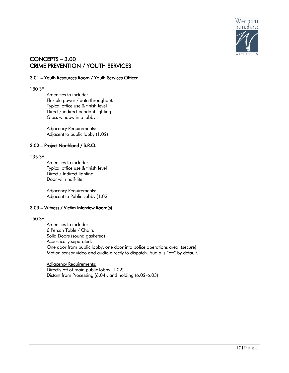

## CONCEPTS - 3.00 CRIME PREVENTION / YOUTH SERVICES

## 3.01 - Youth Resources Room / Youth Services Officer

#### 180 SF

Amenities to include: Flexible power / data throughout. Typical office use & finish level Direct / indirect pendant lighting Glass window into lobby

Adjacency Requirements: Adjacent to public lobby (1.02)

## 3.02 – Project Northland / S.R.O.

#### 135 SF

 Amenities to include: Typical office use & finish level Direct / Indirect lighting Door with half-lite

Adjacency Requirements: Adjacent to Public Lobby (1.02)

## 3.03 – Witness / Victim Interview Room(s)

## 150 SF

 Amenities to include: 6 Person Table / Chairs Solid Doors (sound gasketed) Acoustically separated. One door from public lobby, one door into police operations area. (secure) Motion sensor video and audio directly to dispatch. Audio is "off" by default.

 Adjacency Requirements: Directly off of main public lobby (1.02) Distant from Processing (6.04), and holding (6.02-6.03)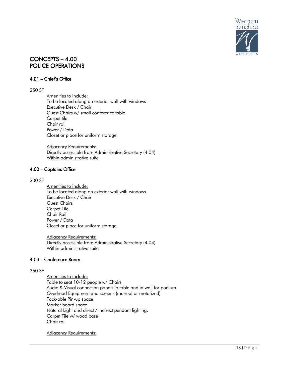

## $CONCEPTS - 4.00$ POLICE OPERATIONS

## $4.01$  – Chief's Office

#### 250 SF

 Amenities to include: To be located along an exterior wall with windows Executive Desk / Chair Guest Chairs w/ small conference table Carpet tile Chair rail Power / Data Closet or place for uniform storage

Adjacency Requirements: Directly accessible from Administrative Secretary (4.04) Within administrative suite

#### 4.02 - Captains Office

#### 200 SF

Amenities to include: To be located along an exterior wall with windows Executive Desk / Chair Guest Chairs Carpet Tile Chair Rail Power / Data Closet or place for uniform storage

Adjacency Requirements: Directly accessible from Administrative Secretary (4.04) Within administrative suite

## 4.03 – Conference Room

#### 360 SF

 Amenities to include: Table to seat 10-12 people w/ Chairs Audio & Visual connection panels in table and in wall for podium Overhead Equipment and screens (manual or motorized) Tack-able Pin-up space Marker board space Natural Light and direct / indirect pendant lighting. Carpet Tile w/ wood base Chair rail

Adjacency Requirements: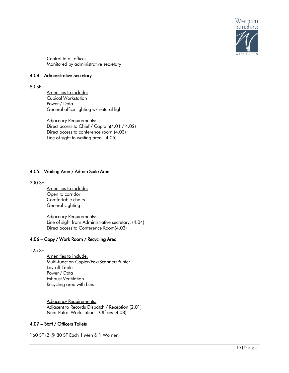

 Central to all offices Monitored by administrative secretary

## 4.04 – Administrative Secretary

#### 80 SF

Amenities to include: Cubical Workstation Power / Data General office lighting w/ natural light

 Adjacency Requirements: Direct access to Chief / Captain(4.01 / 4.02) Direct access to conference room (4.03) Line of sight to waiting area. (4.05)

## 4.05 – Waiting Area / Admin Suite Area

200 SF

 Amenities to include: Open to corridor Comfortable chairs General Lighting

Adjacency Requirements: Line of sight from Administrative secretary. (4.04) Direct access to Conference Room(4.03)

## 4.06 – Copy / Work Room / Recycling Area

125 SF

 Amenities to include: Multi-function Copier/Fax/Scanner/Printer Lay-off Table Power / Data Exhaust Ventilation Recycling area with bins

Adjacency Requirements: Adjacent to Records Dispatch / Reception (2.01) Near Patrol Workstations, Offices (4.08)

## 4.07 – Staff / Officers Toilets

160 SF (2 @ 80 SF Each 1 Men & 1 Women)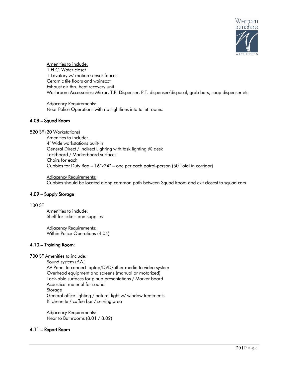

Amenities to include: 1 H.C. Water closet 1 Lavatory w/ motion sensor faucets Ceramic tile floors and wainscot Exhaust air thru heat recovery unit Washroom Accessories: Mirror, T.P. Dispenser, P.T. dispenser/disposal, grab bars, soap dispenser etc

 Adjacency Requirements: Near Police Operations with no sightlines into toilet rooms.

## 4.08–Squad Room

520 SF (20 Workstations)

 Amenities to include: 4' Wide workstations built-in General Direct / Indirect Lighting with task lighting @ desk Tackboard / Markerboard surfaces Chairs for each Cubbies for Duty Bag – 16"x24" – one per each patrol-person (50 Total in corridor)

 Adjacency Requirements: Cubbies should be located along common path between Squad Room and exit closest to squad cars.

## $4.09$  – Supply Storage

100 SF

 Amenities to include: Shelf for tickets and supplies

 Adjacency Requirements: Within Police Operations (4.04)

## $4.10$  – Training Room:

700 SF Amenities to include:

Sound system (P.A.) AV Panel to connect laptop/DVD/other media to video system Overhead equipment and screens (manual or motorized) Tack-able surfaces for pinup presentations / Marker board Acoustical material for sound Storage General office lighting / natural light w/ window treatments. Kitchenette / coffee bar / serving area

 Adjacency Requirements: Near to Bathrooms (8.01 / 8.02)

## 4.11 – Report Room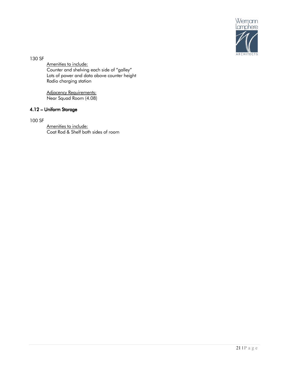

130 SF

 Amenities to include: Counter and shelving each side of "galley" Lots of power and data above counter height Radio charging station

Adjacency Requirements: Near Squad Room (4.08)

## 4.12 – Uniform Storage

100 SF

 Amenities to include: Coat Rod & Shelf both sides of room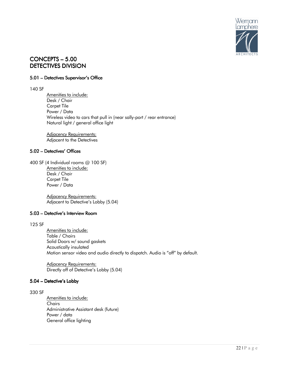

## CONCEPTS – 5.00 DETECTIVES DIVISION

## 5.01 – Detectives Supervisor's Office

#### 140 SF

 Amenities to include: Desk / Chair Carpet Tile Power / Data Wireless video to cars that pull in (near sally-port / rear entrance) Natural light / general office light

 Adjacency Requirements: Adjacent to the Detectives

## 5.02 - Detectives' Offices

400 SF (4 Individual rooms @ 100 SF) Amenities to include: Desk / Chair Carpet Tile Power / Data

> Adjacency Requirements: Adjacent to Detective's Lobby (5.04)

## 5.03 – Detective's Interview Room

## 125 SF

Amenities to include: Table / Chairs Solid Doors w/ sound gaskets Acoustically insulated Motion sensor video and audio directly to dispatch. Audio is "off" by default.

 Adjacency Requirements: Directly off of Detective's Lobby (5.04)

## 5.04 – Detective's Lobby

## 330 SF

 Amenities to include: **Chairs**  Administrative Assistant desk (future) Power / data General office lighting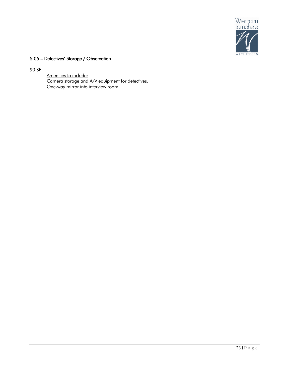

## 5.05 – Detectives' Storage / Observation

90 SF

 Amenities to include: Camera storage and A/V equipment for detectives. One-way mirror into interview room.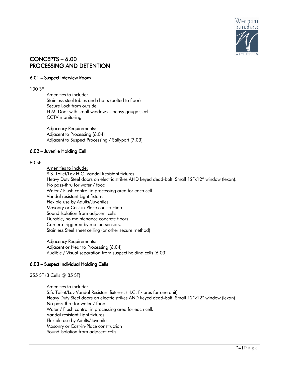

## $CONCEPTS - 6.00$ PROCESSING AND DETENTION

## 6.01 – Suspect Interview Room

## 100 SF

 Amenities to include: Stainless steel tables and chairs (bolted to floor) Secure Lock from outside H.M. Door with small windows – heavy gauge steel CCTV monitoring

Adjacency Requirements: Adjacent to Processing (6.04) Adjacent to Suspect Processing / Sallyport (7.03)

## 6.02 – Juvenile Holding Cell

#### 80 SF

 Amenities to include: S.S. Toilet/Lav H.C. Vandal Resistant fixtures. Heavy Duty Steel doors on electric strikes AND keyed dead-bolt. Small 12"x12" window (lexan). No pass-thru for water / food. Water / Flush control in processing area for each cell. Vandal resistant Light fixtures Flexible use by Adults/Juveniles Masonry or Cast-in-Place construction Sound Isolation from adjacent cells Durable, no maintenance concrete floors. Camera triggered by motion sensors. Stainless Steel sheet ceiling (or other secure method)

 Adjacency Requirements: Adjacent or Near to Processing (6.04) Audible / Visual separation from suspect holding cells (6.03)

## 6.03 – Suspect Individual Holding Cells

255 SF (3 Cells @ 85 SF)

 Amenities to include: S.S. Toilet/Lav Vandal Resistant fixtures. (H.C. fixtures for one unit) Heavy Duty Steel doors on electric strikes AND keyed dead-bolt. Small 12"x12" window (lexan). No pass-thru for water / food. Water / Flush control in processing area for each cell. Vandal resistant Light fixtures Flexible use by Adults/Juveniles Masonry or Cast-in-Place construction Sound Isolation from adjacent cells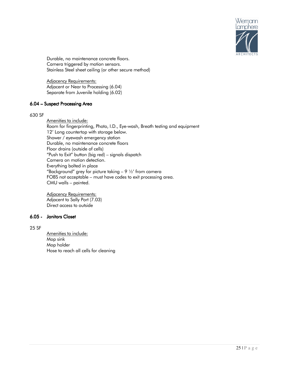

 Durable, no maintenance concrete floors. Camera triggered by motion sensors. Stainless Steel sheet ceiling (or other secure method)

 Adjacency Requirements: Adjacent or Near to Processing (6.04) Separate from Juvenile holding (6.02)

## 6.04 – Suspect Processing Area

#### 630 SF

 Amenities to include: Room for fingerprinting, Photo, I.D., Eye-wash, Breath testing and equipment 12' Long countertop with storage below. Shower / eyewash emergency station Durable, no maintenance concrete floors Floor drains (outside of cells) "Push to Exit" button (big red) – signals dispatch Camera on motion detection. Everything bolted in place "Background" grey for picture taking  $-$  9  $\frac{1}{2}$ ' from camera FOBS not acceptable – must have codes to exit processing area. CMU walls – painted.

 Adjacency Requirements: Adjacent to Sally Port (7.03) Direct access to outside

## 6.05 - Janitors Closet Closet

## 25 SF

 Amenities to include: Mop sink Mop holder Hose to reach all cells for cleaning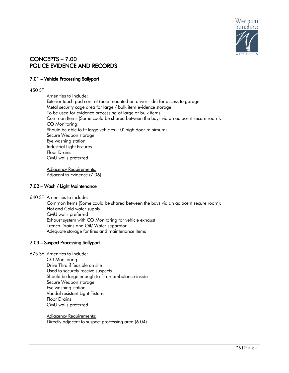

## CONCEPTS – CONCEPTS –7.00 POLICE EVIDENCE AND RECORDS

## 7.01 – Vehicle Processing Sallyport

## 450 SF

 Amenities to include: Exterior touch pad control (pole mounted on driver side) for access to garage Metal security cage area for large / bulk item evidence storage To be used for evidence processing of large or bulk items Common Items (Some could be shared between the bays via an adjacent secure room): CO Monitoring Should be able to fit large vehicles (10' high door minimum) Secure Weapon storage Eye washing station Industrial Light Fixtures Floor Drains CMU walls preferred

Adjacency Requirements: Adjacent to Evidence (7.06)

## 7.02 - Wash / Light Maintenance

640 SF Amenities to include:

 Common Items (Some could be shared between the bays via an adjacent secure room): Hot and Cold water supply CMU walls preferred Exhaust system with CO Monitoring for vehicle exhaust Trench Drains and Oil/ Water separator Adequate storage for tires and maintenance items

## 7.03 - Suspect Processing Sallyport

675 SF Amenities to include:

CO Monitoring Drive Thru if feasible on site Used to securely receive suspects Should be large enough to fit an ambulance inside Secure Weapon storage Eye washing station Vandal resistant Light Fixtures Floor Drains CMU walls preferred

 Adjacency Requirements: Directly adjacent to suspect processing area (6.04)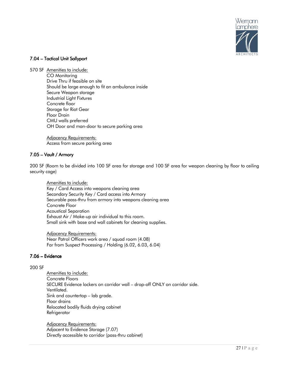

## 7.04 – Tactical Unit Sallyport

570 SF Amenities to include: CO Monitoring Drive Thru if feasible on site Should be large enough to fit an ambulance inside Secure Weapon storage Industrial Light Fixtures Concrete floor Storage for Riot Gear Floor Drain CMU walls preferred OH Door and man-door to secure parking area

> Adjacency Requirements: Access from secure parking area

## 7.05 – Vault / Armory

200 SF (Room to be divided into 100 SF area for storage and 100 SF area for weapon cleaning by floor to ceiling security cage)

 Amenities to include: Key / Card Access into weapons cleaning area Secondary Security Key / Card access into Armory Securable pass-thru from armory into weapons cleaning area Concrete Floor Acoustical Separation Exhaust Air / Make-up air individual to this room. Small sink with base and wall cabinets for cleaning supplies.

 Adjacency Requirements: Near Patrol Officers work area / squad room (4.08) Far from Suspect Processing / Holding (6.02, 6.03, 6.04)

## $7.06$  – Evidence

## 200 SF

 Amenities to include: Concrete Floors SECURE Evidence lockers on corridor wall – drop-off ONLY on corridor side. Ventilated. Sink and countertop – lab grade. Floor drains Relocated bodily fluids drying cabinet **Refrigerator** 

Adjacency Requirements: Adjacent to Evidence Storage (7.07) Directly accessible to corridor (pass-thru cabinet)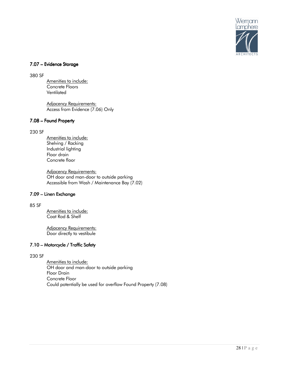

## 7.07 – Evidence Storage

380 SF

 Amenities to include: Concrete Floors Ventilated

 Adjacency Requirements: Access from Evidence (7.06) Only

## 7.08 - Found Property

## 230 SF

 Amenities to include: Shelving / Racking Industrial lighting Floor drain Concrete floor

 Adjacency Requirements: OH door and man-door to outside parking Accessible from Wash / Maintenance Bay (7.02)

## 7.09 – Linen Exchange

#### 85 SF

 Amenities to include: Coat Rod & Shelf

 Adjacency Requirements: Door directly to vestibule

## 7.10 – Motorcycle / Traffic Safety

230 SF

 Amenities to include: OH door and man-door to outside parking Floor Drain Concrete Floor Could potentially be used for overflow Found Property (7.08)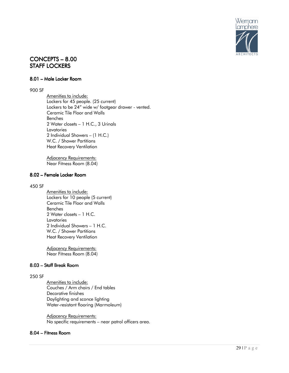

## CONCEPTS – 8.00 STAFF LOCKERS

## 8.01 – Male Locker Room

#### 900 SF

 Amenities to include: Lockers for 45 people. (25 current) Lockers to be 24" wide w/ footgear drawer - vented. Ceramic Tile Floor and Walls Benches 2 Water closets – 1 H.C., 3 Urinals **Lavatories**  2 Individual Showers – (1 H.C.) W.C. / Shower Partitions Heat Recovery Ventilation

Adjacency Requirements: Near Fitness Room (8.04)

## 8.02 – Female Locker Room

#### 450 SF

Amenities to include: Lockers for 10 people (5 current) Ceramic Tile Floor and Walls Benches 2 Water closets – 1 H.C. **Lavatories**  2 Individual Showers – 1 H.C. W.C. / Shower Partitions Heat Recovery Ventilation

Adjacency Requirements: Near Fitness Room (8.04)

## $8.03$  – Staff Break Room

#### 250 SF

 Amenities to include: Couches / Arm chairs / End tables Decorative finishes Daylighting and sconce lighting Water-resistant flooring (Marmoleum)

 Adjacency Requirements: No specific requirements – near patrol officers area.

## 8.04 – Fitness Room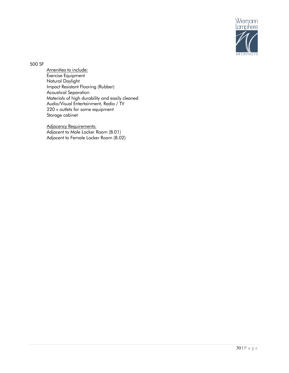

500 SF

 Amenities to include: Exercise Equipment Natural Daylight Impact Resistant Flooring (Rubber) Acoustical Separation Materials of high durability and easily cleaned Audio/Visual Entertainment, Radio / TV 220 v outlets for some equipment Storage cabinet

 Adjacency Requirements: Adjacent to Male Locker Room (8.01) Adjacent to Female Locker Room (8.02)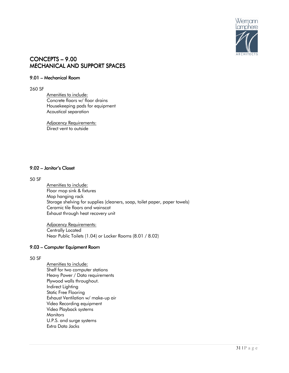

## CONCEPTS – 9.00 MECHANICAL AND SUPPORT SPACES

## 9.01 – Mechanical Room

#### 260 SF

Amenities to include: Concrete floors w/ floor drains Housekeeping pads for equipment Acoustical separation

Adjacency Requirements: Direct vent to outside

## 9.02 – Janitor's Closet

## 50 SF

 Amenities to include: Floor mop sink & fixtures Mop hanging rack Storage shelving for supplies (cleaners, soap, toilet paper, paper towels) Ceramic tile floors and wainscot Exhaust through heat recovery unit

 Adjacency Requirements: Centrally Located Near Public Toilets (1.04) or Locker Rooms (8.01 / 8.02)

## 9.03 – Computer Equipment Room

## 50 SF

 Amenities to include: Shelf for two computer stations Heavy Power / Data requirements Plywood walls throughout. Indirect Lighting Static Free Flooring Exhaust Ventilation w/ make-up air Video Recording equipment Video Playback systems **Monitors**  U.P.S. and surge systems Extra Data Jacks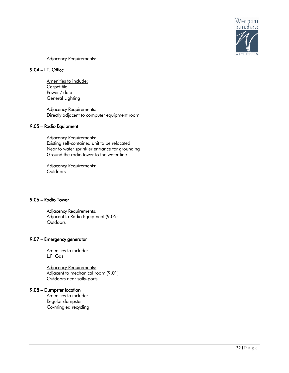

## Adjacency Requirements:

## $9.04$  – I.T. Office

Amenities to include: Carpet tile Power / data General Lighting

 Adjacency Requirements: Directly adjacent to computer equipment room

## 9.05 – Radio Equipment

Adjacency Requirements: Existing self-contained unit to be relocated Near to water sprinkler entrance for grounding Ground the radio tower to the water line

 Adjacency Requirements: **Outdoors** 

## 9.06 – Radio Tower

Adjacency Requirements: Adjacent to Radio Equipment (9.05) **Outdoors** 

## 9.07 – Emergency generator

 Amenities to include: L.P. Gas

 Adjacency Requirements: Adjacent to mechanical room (9.01) Outdoors near sally-ports.

## 9.08 – Dumpster location

Amenities to include: Regular dumpster Co-mingled recycling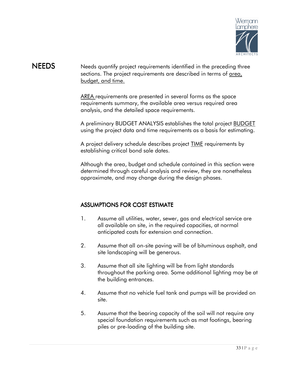

## NEEDS Needs quantify project requirements identified in the preceding three sections. The project requirements are described in terms of area, budget, and time.

AREA requirements are presented in several forms as the space requirements summary, the available area versus required area analysis, and the detailed space requirements.

A preliminary BUDGET ANALYSIS establishes the total project BUDGET using the project data and time requirements as a basis for estimating.

A project delivery schedule describes project **TIME** requirements by establishing critical bond sale dates.

Although the area, budget and schedule contained in this section were determined through careful analysis and review, they are nonetheless approximate, and may change during the design phases.

## ASSUMPTIONS FOR COST ESTIMATE

- 1. Assume all utilities, water, sewer, gas and electrical service are all available on site, in the required capacities, at normal anticipated costs for extension and connection.
- 2. Assume that all on-site paving will be of bituminous asphalt, and site landscaping will be generous.
- 3. Assume that all site lighting will be from light standards throughout the parking area. Some additional lighting may be at the building entrances.
- 4. Assume that no vehicle fuel tank and pumps will be provided on site.
- 5. Assume that the bearing capacity of the soil will not require any special foundation requirements such as mat footings, bearing piles or pre-loading of the building site.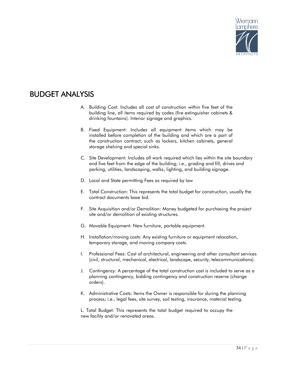

## **BUDGET ANALYSIS**

- A. Building Cost: Includes all cost of construction within five feet of the building line, all items required by codes (fire extinguisher cabinets & drinking fountains). Interior signage and graphics.
- B. Fixed Equipment: Includes all equipment items which may be installed before completion of the building and which are a part of the construction contract, such as lockers, kitchen cabinets, general storage shelving and special sinks.
- C. Site Development: Includes all work required which lies within the site boundary and five feet from the edge of the building; i.e., grading and fill, drives and parking, utilities, landscaping, walks, lighting, and building signage.
- D. Local and State permitting Fees as required by law
- E. Total Construction: This represents the total budget for construction, usually the contract documents base bid.
- F. Site Acquisition and/or Demolition: Money budgeted for purchasing the project site and/or demolition of existing structures.
- G. Movable Equipment: New furniture, portable equipment.
- H. Installation/moving costs: Any existing furniture or equipment relocation, temporary storage, and moving company costs.
- I. Professional Fees: Cost of architectural, engineering and other consultant services (civil, structural, mechanical, electrical, landscape, security, telecommunications).
- J. Contingency: A percentage of the total construction cost is included to serve as a planning contingency, bidding contingency and construction reserve (change orders).
- K. Administrative Costs: Items the Owner is responsible for during the planning process; i.e., legal fees, site survey, soil testing, insurance, material testing.

L. Total Budget: This represents the total budget required to occupy the new facility and/or renovated areas.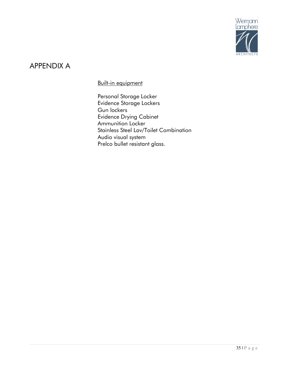

## APPENDIX A

Built-in equipment

Personal Storage Locker Evidence Storage Lockers Gun lockers Evidence Drying Cabinet Ammunition Locker Stainless Steel Lav/Toilet Combination Audio visual system Prelco bullet resistant glass.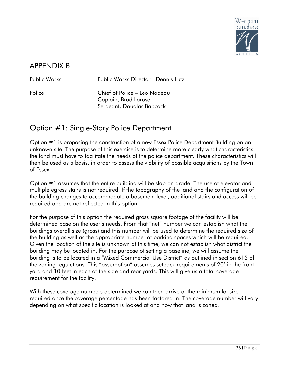

## APPENDIX B

Public Works Public Works Director - Dennis Lutz

Police Chief of Police – Leo Nadeau Captain, Brad Larose Sergeant, Douglas Babcock

## Option #1: Single-Story Police Department

Option #1 is proposing the construction of a new Essex Police Department Building on an unknown site. The purpose of this exercise is to determine more clearly what characteristics the land must have to facilitate the needs of the police department. These characteristics will then be used as a basis, in order to assess the viability of possible acquisitions by the Town of Essex.

Option #1 assumes that the entire building will be slab on grade. The use of elevator and multiple egress stairs is not required. If the topography of the land and the configuration of the building changes to accommodate a basement level, additional stairs and access will be required and are not reflected in this option.

For the purpose of this option the required gross square footage of the facility will be determined base on the user's needs. From that "net" number we can establish what the buildings overall size (gross) and this number will be used to determine the required size of the building as well as the appropriate number of parking spaces which will be required. Given the location of the site is unknown at this time, we can not establish what district the building may be located in. For the purpose of setting a baseline, we will assume the building is to be located in a "Mixed Commercial Use District" as outlined in section 615 of the zoning regulations. This "assumption" assumes setback requirements of 20' in the front yard and 10 feet in each of the side and rear yards. This will give us a total coverage requirement for the facility.

With these coverage numbers determined we can then arrive at the minimum lot size required once the coverage percentage has been factored in. The coverage number will vary depending on what specific location is looked at and how that land is zoned.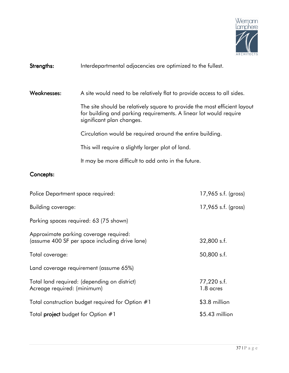

## Strengths: Interdepartmental adjacencies are optimized to the fullest.

Weaknesses: A site would need to be relatively flat to provide access to all sides.

The site should be relatively square to provide the most efficient layout for building and parking requirements. A linear lot would require significant plan changes.

Circulation would be required around the entire building.

This will require a slightly larger plot of land.

It may be more difficult to add onto in the future.

## Concepts:

| Police Department space required:                                                        | $17,965$ s.f. (gross)    |
|------------------------------------------------------------------------------------------|--------------------------|
| Building coverage:                                                                       | $17,965$ s.f. (gross)    |
| Parking spaces required: 63 (75 shown)                                                   |                          |
| Approximate parking coverage required:<br>(assume 400 SF per space including drive lane) | 32,800 s.f.              |
| Total coverage:                                                                          | 50,800 s.f.              |
| Land coverage requirement (assume 65%)                                                   |                          |
| Total land required: (depending on district)<br>Acreage required: (minimum)              | 77,220 s.f.<br>1.8 acres |
| Total construction budget required for Option #1                                         | \$3.8 million            |
| Total <b>project</b> budget for Option #1                                                | \$5.43 million           |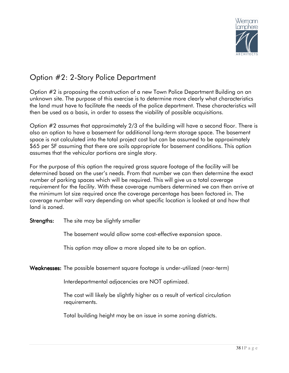

## Option #2: 2-Story Police Department

Option #2 is proposing the construction of a new Town Police Department Building on an unknown site. The purpose of this exercise is to determine more clearly what characteristics the land must have to facilitate the needs of the police department. These characteristics will then be used as a basis, in order to assess the viability of possible acquisitions.

Option #2 assumes that approximately 2/3 of the building will have a second floor. There is also an option to have a basement for additional long-term storage space. The basement space is not calculated into the total project cost but can be assumed to be approximately \$65 per SF assuming that there are soils appropriate for basement conditions. This option assumes that the vehicular portions are single story.

For the purpose of this option the required gross square footage of the facility will be determined based on the user's needs. From that number we can then determine the exact number of parking spaces which will be required. This will give us a total coverage requirement for the facility. With these coverage numbers determined we can then arrive at the minimum lot size required once the coverage percentage has been factored in. The coverage number will vary depending on what specific location is looked at and how that land is zoned.

**Strengths:** The site may be slightly smaller

The basement would allow some cost-effective expansion space.

This option may allow a more sloped site to be an option.

Weaknesses: The possible basement square footage is under-utilized (near-term)

Interdepartmental adjacencies are NOT optimized.

The cost will likely be slightly higher as a result of vertical circulation requirements.

Total building height may be an issue in some zoning districts.